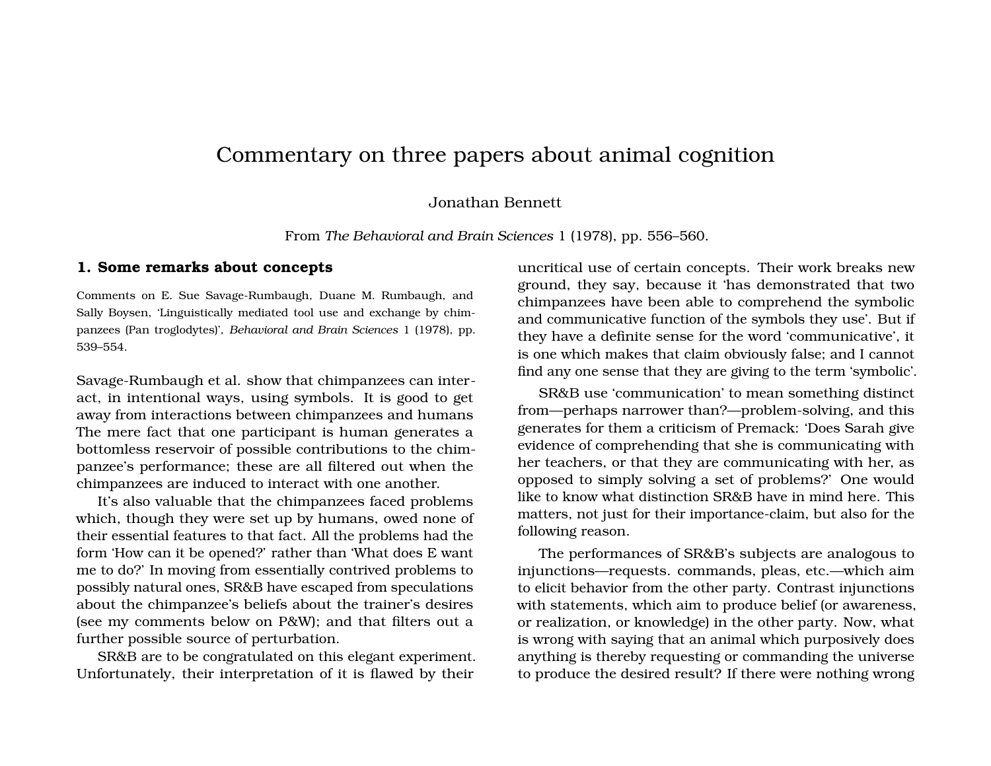# Commentary on three papers about animal cognition

#### Jonathan Bennett

From *The Behavioral and Brain Sciences* 1 (1978), pp. 556–560.

### **1. Some remarks about concepts**

Comments on E. Sue Savage-Rumbaugh, Duane M. Rumbaugh, and Sally Boysen, 'Linguistically mediated tool use and exchange by chimpanzees (Pan troglodytes)', *Behavioral and Brain Sciences* 1 (1978), pp. 539–554.

Savage-Rumbaugh et al. show that chimpanzees can interact, in intentional ways, using symbols. It is good to get away from interactions between chimpanzees and humans The mere fact that one participant is human generates a bottomless reservoir of possible contributions to the chimpanzee's performance; these are all filtered out when the chimpanzees are induced to interact with one another.

It's also valuable that the chimpanzees faced problems which, though they were set up by humans, owed none of their essential features to that fact. All the problems had the form 'How can it be opened?' rather than 'What does E want me to do?' In moving from essentially contrived problems to possibly natural ones, SR&B have escaped from speculations about the chimpanzee's beliefs about the trainer's desires (see my comments below on P&W); and that filters out a further possible source of perturbation.

SR&B are to be congratulated on this elegant experiment. Unfortunately, their interpretation of it is flawed by their

uncritical use of certain concepts. Their work breaks new ground, they say, because it 'has demonstrated that two chimpanzees have been able to comprehend the symbolic and communicative function of the symbols they use'. But if they have a definite sense for the word 'communicative', it is one which makes that claim obviously false; and I cannot find any one sense that they are giving to the term 'symbolic'.

SR&B use 'communication' to mean something distinct from—perhaps narrower than?—problem-solving, and this generates for them a criticism of Premack: 'Does Sarah give evidence of comprehending that she is communicating with her teachers, or that they are communicating with her, as opposed to simply solving a set of problems?' One would like to know what distinction SR&B have in mind here. This matters, not just for their importance-claim, but also for the following reason.

The performances of SR&B's subjects are analogous to injunctions—requests. commands, pleas, etc.—which aim to elicit behavior from the other party. Contrast injunctions with statements, which aim to produce belief (or awareness, or realization, or knowledge) in the other party. Now, what is wrong with saying that an animal which purposively does anything is thereby requesting or commanding the universe to produce the desired result? If there were nothing wrong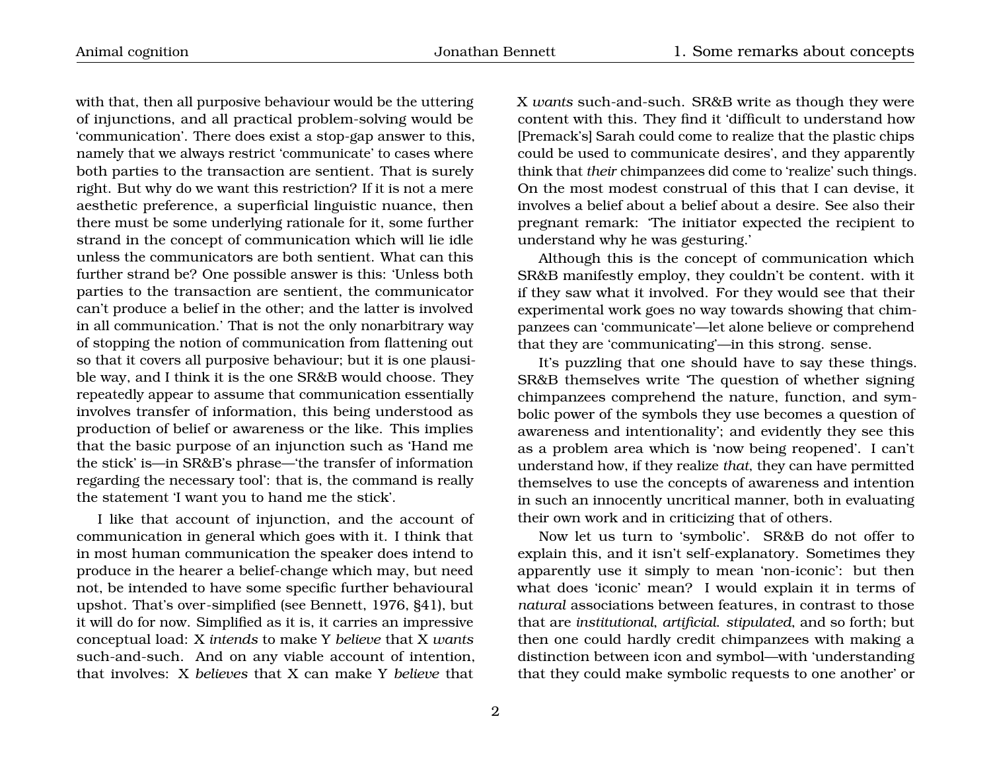with that, then all purposive behaviour would be the uttering of injunctions, and all practical problem-solving would be 'communication'. There does exist a stop-gap answer to this, namely that we always restrict 'communicate' to cases where both parties to the transaction are sentient. That is surely right. But why do we want this restriction? If it is not a mere aesthetic preference, a superficial linguistic nuance, then there must be some underlying rationale for it, some further strand in the concept of communication which will lie idle unless the communicators are both sentient. What can this further strand be? One possible answer is this: 'Unless both parties to the transaction are sentient, the communicator can't produce a belief in the other; and the latter is involved in all communication.' That is not the only nonarbitrary way of stopping the notion of communication from flattening out so that it covers all purposive behaviour; but it is one plausible way, and I think it is the one SR&B would choose. They repeatedly appear to assume that communication essentially involves transfer of information, this being understood as production of belief or awareness or the like. This implies that the basic purpose of an injunction such as 'Hand me the stick' is—in SR&B's phrase—'the transfer of information regarding the necessary tool': that is, the command is really the statement 'I want you to hand me the stick'.

I like that account of injunction, and the account of communication in general which goes with it. I think that in most human communication the speaker does intend to produce in the hearer a belief-change which may, but need not, be intended to have some specific further behavioural upshot. That's over-simplified (see Bennett, 1976, §41), but it will do for now. Simplified as it is, it carries an impressive conceptual load: X *intends* to make Y *believe* that X *wants* such-and-such. And on any viable account of intention, that involves: X *believes* that X can make Y *believe* that X *wants* such-and-such. SR&B write as though they were content with this. They find it 'difficult to understand how [Premack's] Sarah could come to realize that the plastic chips could be used to communicate desires', and they apparently think that *their* chimpanzees did come to 'realize' such things. On the most modest construal of this that I can devise, it involves a belief about a belief about a desire. See also their pregnant remark: 'The initiator expected the recipient to understand why he was gesturing.'

Although this is the concept of communication which SR&B manifestly employ, they couldn't be content. with it if they saw what it involved. For they would see that their experimental work goes no way towards showing that chimpanzees can 'communicate'—let alone believe or comprehend that they are 'communicating'—in this strong. sense.

It's puzzling that one should have to say these things. SR&B themselves write 'The question of whether signing chimpanzees comprehend the nature, function, and symbolic power of the symbols they use becomes a question of awareness and intentionality'; and evidently they see this as a problem area which is 'now being reopened'. I can't understand how, if they realize *that*, they can have permitted themselves to use the concepts of awareness and intention in such an innocently uncritical manner, both in evaluating their own work and in criticizing that of others.

Now let us turn to 'symbolic'. SR&B do not offer to explain this, and it isn't self-explanatory. Sometimes they apparently use it simply to mean 'non-iconic': but then what does 'iconic' mean? I would explain it in terms of *natural* associations between features, in contrast to those that are *institutional*, *artificial*. *stipulated*, and so forth; but then one could hardly credit chimpanzees with making a distinction between icon and symbol—with 'understanding that they could make symbolic requests to one another' or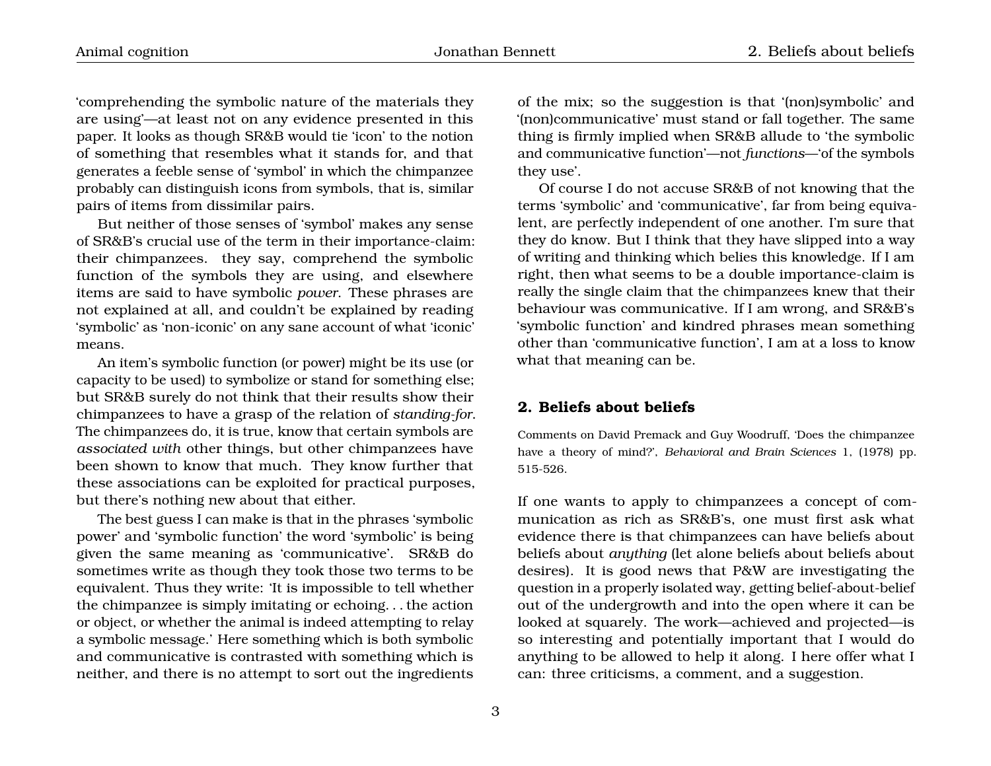'comprehending the symbolic nature of the materials they are using'—at least not on any evidence presented in this paper. It looks as though SR&B would tie 'icon' to the notion of something that resembles what it stands for, and that generates a feeble sense of 'symbol' in which the chimpanzee probably can distinguish icons from symbols, that is, similar pairs of items from dissimilar pairs.

But neither of those senses of 'symbol' makes any sense of SR&B's crucial use of the term in their importance-claim: their chimpanzees. they say, comprehend the symbolic function of the symbols they are using, and elsewhere items are said to have symbolic *power*. These phrases are not explained at all, and couldn't be explained by reading 'symbolic' as 'non-iconic' on any sane account of what 'iconic' means.

An item's symbolic function (or power) might be its use (or capacity to be used) to symbolize or stand for something else; but SR&B surely do not think that their results show their chimpanzees to have a grasp of the relation of *standing-for*. The chimpanzees do, it is true, know that certain symbols are *associated with* other things, but other chimpanzees have been shown to know that much. They know further that these associations can be exploited for practical purposes, but there's nothing new about that either.

The best guess I can make is that in the phrases 'symbolic power' and 'symbolic function' the word 'symbolic' is being given the same meaning as 'communicative'. SR&B do sometimes write as though they took those two terms to be equivalent. Thus they write: 'It is impossible to tell whether the chimpanzee is simply imitating or echoing. . . the action or object, or whether the animal is indeed attempting to relay a symbolic message.' Here something which is both symbolic and communicative is contrasted with something which is neither, and there is no attempt to sort out the ingredients

of the mix; so the suggestion is that '(non)symbolic' and '(non)communicative' must stand or fall together. The same thing is firmly implied when SR&B allude to 'the symbolic and communicative function'—not *functions*—'of the symbols they use'.

Of course I do not accuse SR&B of not knowing that the terms 'symbolic' and 'communicative', far from being equivalent, are perfectly independent of one another. I'm sure that they do know. But I think that they have slipped into a way of writing and thinking which belies this knowledge. If I am right, then what seems to be a double importance-claim is really the single claim that the chimpanzees knew that their behaviour was communicative. If I am wrong, and SR&B's 'symbolic function' and kindred phrases mean something other than 'communicative function', I am at a loss to know what that meaning can be.

#### **2. Beliefs about beliefs**

Comments on David Premack and Guy Woodruff, 'Does the chimpanzee have a theory of mind?', *Behavioral and Brain Sciences* 1, (1978) pp. 515-526.

If one wants to apply to chimpanzees a concept of communication as rich as SR&B's, one must first ask what evidence there is that chimpanzees can have beliefs about beliefs about *anything* (let alone beliefs about beliefs about desires). It is good news that P&W are investigating the question in a properly isolated way, getting belief-about-belief out of the undergrowth and into the open where it can be looked at squarely. The work—achieved and projected—is so interesting and potentially important that I would do anything to be allowed to help it along. I here offer what I can: three criticisms, a comment, and a suggestion.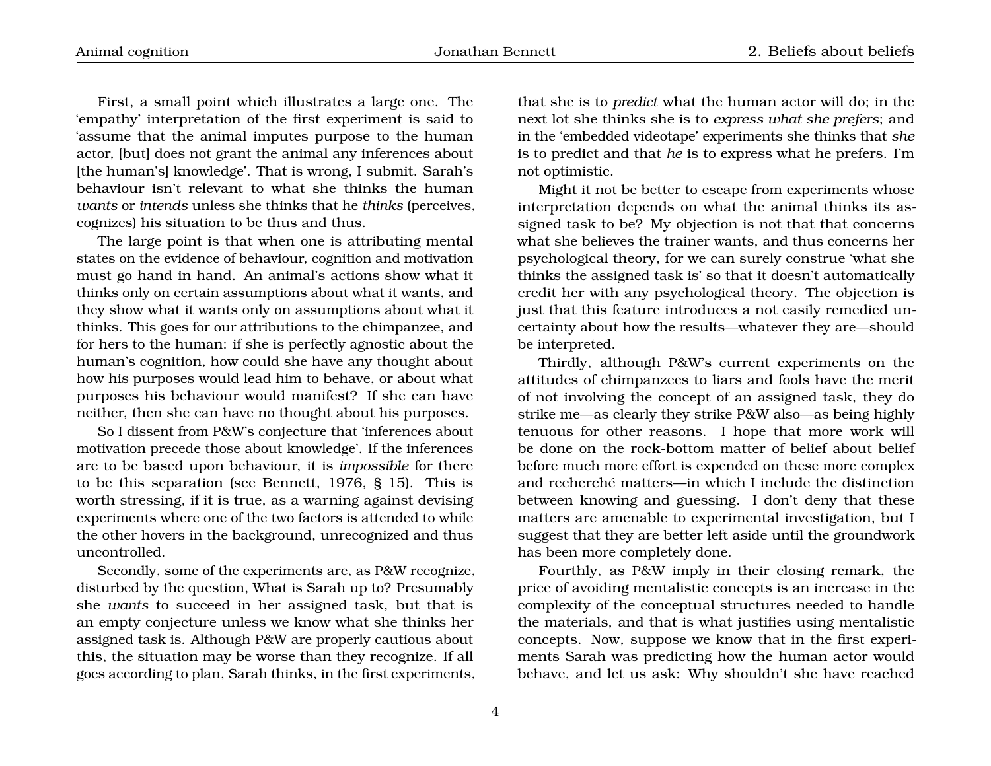First, a small point which illustrates a large one. The 'empathy' interpretation of the first experiment is said to 'assume that the animal imputes purpose to the human actor, [but] does not grant the animal any inferences about [the human's] knowledge'. That is wrong, I submit. Sarah's behaviour isn't relevant to what she thinks the human *wants* or *intends* unless she thinks that he *thinks* (perceives, cognizes) his situation to be thus and thus.

The large point is that when one is attributing mental states on the evidence of behaviour, cognition and motivation must go hand in hand. An animal's actions show what it thinks only on certain assumptions about what it wants, and they show what it wants only on assumptions about what it thinks. This goes for our attributions to the chimpanzee, and for hers to the human: if she is perfectly agnostic about the human's cognition, how could she have any thought about how his purposes would lead him to behave, or about what purposes his behaviour would manifest? If she can have neither, then she can have no thought about his purposes.

So I dissent from P&W's conjecture that 'inferences about motivation precede those about knowledge'. If the inferences are to be based upon behaviour, it is *impossible* for there to be this separation (see Bennett, 1976, § 15). This is worth stressing, if it is true, as a warning against devising experiments where one of the two factors is attended to while the other hovers in the background, unrecognized and thus uncontrolled.

Secondly, some of the experiments are, as P&W recognize, disturbed by the question, What is Sarah up to? Presumably she *wants* to succeed in her assigned task, but that is an empty conjecture unless we know what she thinks her assigned task is. Although P&W are properly cautious about this, the situation may be worse than they recognize. If all goes according to plan, Sarah thinks, in the first experiments, that she is to *predict* what the human actor will do; in the next lot she thinks she is to *express what she prefers*; and in the 'embedded videotape' experiments she thinks that *she* is to predict and that *he* is to express what he prefers. I'm not optimistic.

Might it not be better to escape from experiments whose interpretation depends on what the animal thinks its assigned task to be? My objection is not that that concerns what she believes the trainer wants, and thus concerns her psychological theory, for we can surely construe 'what she thinks the assigned task is' so that it doesn't automatically credit her with any psychological theory. The objection is just that this feature introduces a not easily remedied uncertainty about how the results—whatever they are—should be interpreted.

Thirdly, although P&W's current experiments on the attitudes of chimpanzees to liars and fools have the merit of not involving the concept of an assigned task, they do strike me—as clearly they strike P&W also—as being highly tenuous for other reasons. I hope that more work will be done on the rock-bottom matter of belief about belief before much more effort is expended on these more complex and recherché matters—in which I include the distinction between knowing and guessing. I don't deny that these matters are amenable to experimental investigation, but I suggest that they are better left aside until the groundwork has been more completely done.

Fourthly, as P&W imply in their closing remark, the price of avoiding mentalistic concepts is an increase in the complexity of the conceptual structures needed to handle the materials, and that is what justifies using mentalistic concepts. Now, suppose we know that in the first experiments Sarah was predicting how the human actor would behave, and let us ask: Why shouldn't she have reached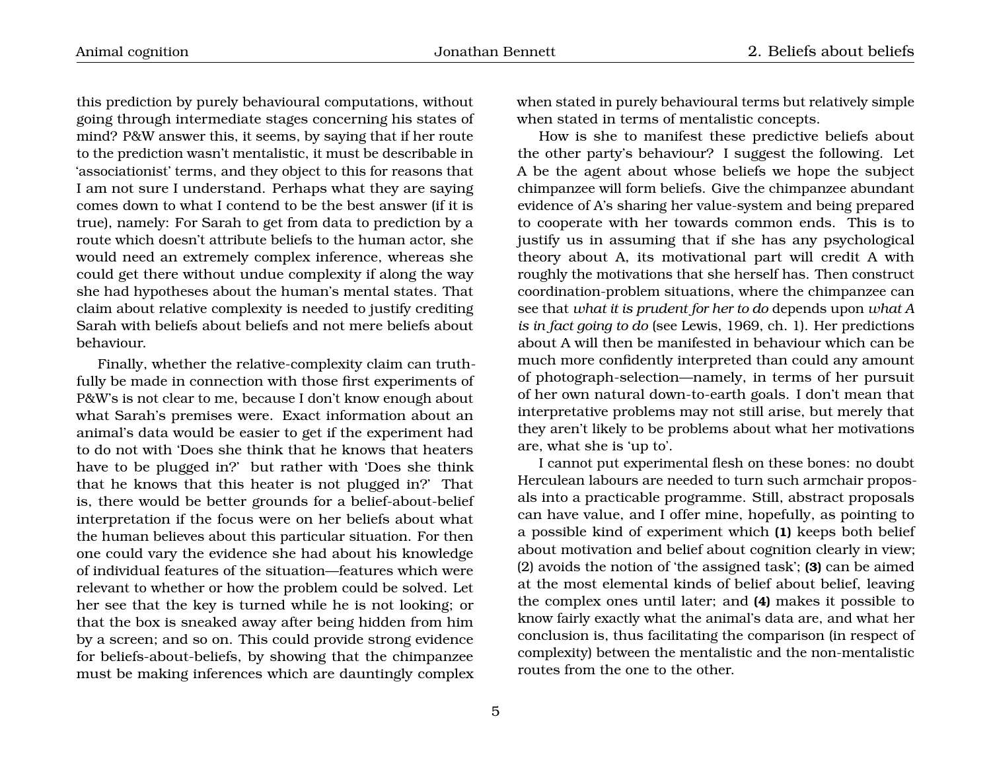this prediction by purely behavioural computations, without going through intermediate stages concerning his states of mind? P&W answer this, it seems, by saying that if her route to the prediction wasn't mentalistic, it must be describable in 'associationist' terms, and they object to this for reasons that I am not sure I understand. Perhaps what they are saying comes down to what I contend to be the best answer (if it is true), namely: For Sarah to get from data to prediction by a route which doesn't attribute beliefs to the human actor, she would need an extremely complex inference, whereas she could get there without undue complexity if along the way she had hypotheses about the human's mental states. That claim about relative complexity is needed to justify crediting Sarah with beliefs about beliefs and not mere beliefs about behaviour.

Finally, whether the relative-complexity claim can truthfully be made in connection with those first experiments of P&W's is not clear to me, because I don't know enough about what Sarah's premises were. Exact information about an animal's data would be easier to get if the experiment had to do not with 'Does she think that he knows that heaters have to be plugged in?' but rather with 'Does she think that he knows that this heater is not plugged in?' That is, there would be better grounds for a belief-about-belief interpretation if the focus were on her beliefs about what the human believes about this particular situation. For then one could vary the evidence she had about his knowledge of individual features of the situation—features which were relevant to whether or how the problem could be solved. Let her see that the key is turned while he is not looking; or that the box is sneaked away after being hidden from him by a screen; and so on. This could provide strong evidence for beliefs-about-beliefs, by showing that the chimpanzee must be making inferences which are dauntingly complex

when stated in purely behavioural terms but relatively simple when stated in terms of mentalistic concepts.

How is she to manifest these predictive beliefs about the other party's behaviour? I suggest the following. Let A be the agent about whose beliefs we hope the subject chimpanzee will form beliefs. Give the chimpanzee abundant evidence of A's sharing her value-system and being prepared to cooperate with her towards common ends. This is to justify us in assuming that if she has any psychological theory about A, its motivational part will credit A with roughly the motivations that she herself has. Then construct coordination-problem situations, where the chimpanzee can see that *what it is prudent for her to do* depends upon *what A is in fact going to do* (see Lewis, 1969, ch. 1). Her predictions about A will then be manifested in behaviour which can be much more confidently interpreted than could any amount of photograph-selection—namely, in terms of her pursuit of her own natural down-to-earth goals. I don't mean that interpretative problems may not still arise, but merely that they aren't likely to be problems about what her motivations are, what she is 'up to'.

I cannot put experimental flesh on these bones: no doubt Herculean labours are needed to turn such armchair proposals into a practicable programme. Still, abstract proposals can have value, and I offer mine, hopefully, as pointing to a possible kind of experiment which **(1)** keeps both belief about motivation and belief about cognition clearly in view; (2) avoids the notion of 'the assigned task'; **(3)** can be aimed at the most elemental kinds of belief about belief, leaving the complex ones until later; and **(4)** makes it possible to know fairly exactly what the animal's data are, and what her conclusion is, thus facilitating the comparison (in respect of complexity) between the mentalistic and the non-mentalistic routes from the one to the other.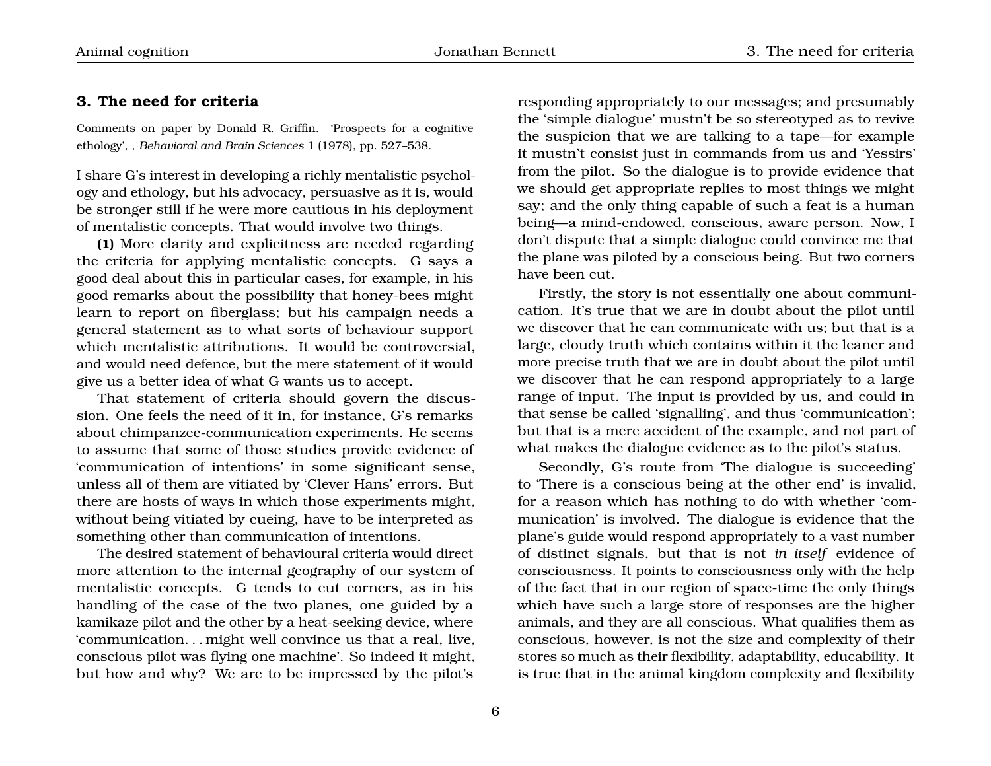# **3. The need for criteria**

Comments on paper by Donald R. Griffin. 'Prospects for a cognitive ethology', , *Behavioral and Brain Sciences* 1 (1978), pp. 527–538.

I share G's interest in developing a richly mentalistic psychology and ethology, but his advocacy, persuasive as it is, would be stronger still if he were more cautious in his deployment of mentalistic concepts. That would involve two things.

**(1)** More clarity and explicitness are needed regarding the criteria for applying mentalistic concepts. G says a good deal about this in particular cases, for example, in his good remarks about the possibility that honey-bees might learn to report on fiberglass; but his campaign needs a general statement as to what sorts of behaviour support which mentalistic attributions. It would be controversial, and would need defence, but the mere statement of it would give us a better idea of what G wants us to accept.

That statement of criteria should govern the discussion. One feels the need of it in, for instance, G's remarks about chimpanzee-communication experiments. He seems to assume that some of those studies provide evidence of 'communication of intentions' in some significant sense, unless all of them are vitiated by 'Clever Hans' errors. But there are hosts of ways in which those experiments might, without being vitiated by cueing, have to be interpreted as something other than communication of intentions.

The desired statement of behavioural criteria would direct more attention to the internal geography of our system of mentalistic concepts. G tends to cut corners, as in his handling of the case of the two planes, one guided by a kamikaze pilot and the other by a heat-seeking device, where 'communication. . . might well convince us that a real, live, conscious pilot was flying one machine'. So indeed it might, but how and why? We are to be impressed by the pilot's

responding appropriately to our messages; and presumably the 'simple dialogue' mustn't be so stereotyped as to revive the suspicion that we are talking to a tape—for example it mustn't consist just in commands from us and 'Yessirs' from the pilot. So the dialogue is to provide evidence that we should get appropriate replies to most things we might say; and the only thing capable of such a feat is a human being—a mind-endowed, conscious, aware person. Now, I don't dispute that a simple dialogue could convince me that the plane was piloted by a conscious being. But two corners have been cut.

Firstly, the story is not essentially one about communication. It's true that we are in doubt about the pilot until we discover that he can communicate with us; but that is a large, cloudy truth which contains within it the leaner and more precise truth that we are in doubt about the pilot until we discover that he can respond appropriately to a large range of input. The input is provided by us, and could in that sense be called 'signalling', and thus 'communication'; but that is a mere accident of the example, and not part of what makes the dialogue evidence as to the pilot's status.

Secondly, G's route from 'The dialogue is succeeding' to 'There is a conscious being at the other end' is invalid, for a reason which has nothing to do with whether 'communication' is involved. The dialogue is evidence that the plane's guide would respond appropriately to a vast number of distinct signals, but that is not *in itself* evidence of consciousness. It points to consciousness only with the help of the fact that in our region of space-time the only things which have such a large store of responses are the higher animals, and they are all conscious. What qualifies them as conscious, however, is not the size and complexity of their stores so much as their flexibility, adaptability, educability. It is true that in the animal kingdom complexity and flexibility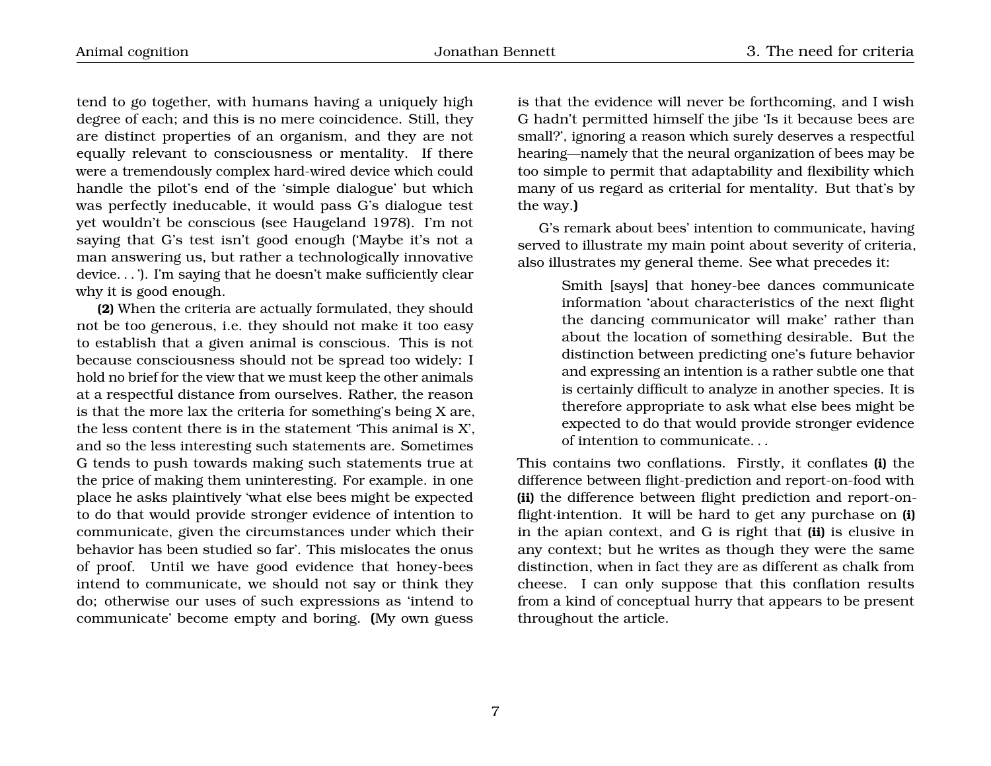tend to go together, with humans having a uniquely high degree of each; and this is no mere coincidence. Still, they are distinct properties of an organism, and they are not equally relevant to consciousness or mentality. If there were a tremendously complex hard-wired device which could handle the pilot's end of the 'simple dialogue' but which was perfectly ineducable, it would pass G's dialogue test yet wouldn't be conscious (see Haugeland 1978). I'm not saying that G's test isn't good enough ('Maybe it's not a man answering us, but rather a technologically innovative device. . . '). I'm saying that he doesn't make sufficiently clear why it is good enough.

**(2)** When the criteria are actually formulated, they should not be too generous, i.e. they should not make it too easy to establish that a given animal is conscious. This is not because consciousness should not be spread too widely: I hold no brief for the view that we must keep the other animals at a respectful distance from ourselves. Rather, the reason is that the more lax the criteria for something's being X are, the less content there is in the statement 'This animal is X', and so the less interesting such statements are. Sometimes G tends to push towards making such statements true at the price of making them uninteresting. For example. in one place he asks plaintively 'what else bees might be expected to do that would provide stronger evidence of intention to communicate, given the circumstances under which their behavior has been studied so far'. This mislocates the onus of proof. Until we have good evidence that honey-bees intend to communicate, we should not say or think they do; otherwise our uses of such expressions as 'intend to communicate' become empty and boring. **(**My own guess

is that the evidence will never be forthcoming, and I wish G hadn't permitted himself the jibe 'Is it because bees are small?', ignoring a reason which surely deserves a respectful hearing—namely that the neural organization of bees may be too simple to permit that adaptability and flexibility which many of us regard as criterial for mentality. But that's by the way.**)**

G's remark about bees' intention to communicate, having served to illustrate my main point about severity of criteria, also illustrates my general theme. See what precedes it:

> Smith [says] that honey-bee dances communicate information 'about characteristics of the next flight the dancing communicator will make' rather than about the location of something desirable. But the distinction between predicting one's future behavior and expressing an intention is a rather subtle one that is certainly difficult to analyze in another species. It is therefore appropriate to ask what else bees might be expected to do that would provide stronger evidence of intention to communicate. . .

This contains two conflations. Firstly, it conflates **(i)** the difference between flight-prediction and report-on-food with **(ii)** the difference between flight prediction and report-onflight·intention. It will be hard to get any purchase on **(i)** in the apian context, and G is right that **(ii)** is elusive in any context; but he writes as though they were the same distinction, when in fact they are as different as chalk from cheese. I can only suppose that this conflation results from a kind of conceptual hurry that appears to be present throughout the article.